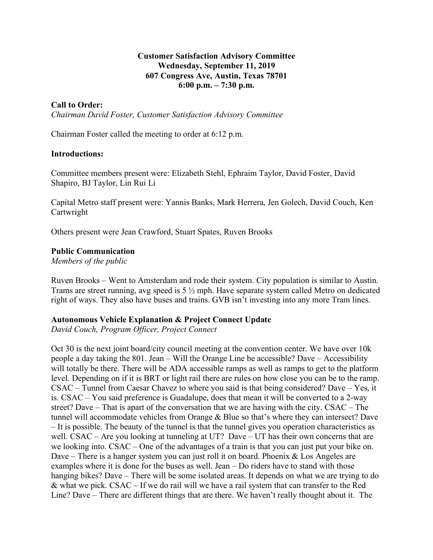### **Customer Satisfaction Advisory Committee Wednesday, September 11, 2019 607 Congress Ave, Austin, Texas 78701 6:00 p.m. – 7:30 p.m.**

## **Call to Order:**

*Chairman David Foster, Customer Satisfaction Advisory Committee*

Chairman Foster called the meeting to order at 6:12 p.m.

#### **Introductions:**

Committee members present were: Elizabeth Stehl, Ephraim Taylor, David Foster, David Shapiro, BJ Taylor, Lin Rui Li

Capital Metro staff present were: Yannis Banks, Mark Herrera, Jen Golech, David Couch, Ken Cartwright

Others present were Jean Crawford, Stuart Spates, Ruven Brooks

#### **Public Communication**

*Members of the public*

Ruven Brooks – Went to Amsterdam and rode their system. City population is similar to Austin. Trams are street running, avg speed is 5 ½ mph. Have separate system called Metro on dedicated right of ways. They also have buses and trains. GVB isn't investing into any more Tram lines.

#### **Autonomous Vehicle Explanation & Project Connect Update**

*David Couch, Program Officer, Project Connect* 

Oct 30 is the next joint board/city council meeting at the convention center. We have over 10k people a day taking the 801. Jean – Will the Orange Line be accessible? Dave – Accessibility will totally be there. There will be ADA accessible ramps as well as ramps to get to the platform level. Depending on if it is BRT or light rail there are rules on how close you can be to the ramp. CSAC – Tunnel from Caesar Chavez to where you said is that being considered? Dave – Yes, it is. CSAC – You said preference is Guadalupe, does that mean it will be converted to a 2-way street? Dave – That is apart of the conversation that we are having with the city. CSAC – The tunnel will accommodate vehicles from Orange & Blue so that's where they can intersect? Dave – It is possible. The beauty of the tunnel is that the tunnel gives you operation characteristics as well. CSAC – Are you looking at tunneling at UT? Dave – UT has their own concerns that are we looking into. CSAC – One of the advantages of a train is that you can just put your bike on. Dave – There is a hanger system you can just roll it on board. Phoenix & Los Angeles are examples where it is done for the buses as well. Jean – Do riders have to stand with those hanging bikes? Dave – There will be some isolated areas. It depends on what we are trying to do & what we pick. CSAC – If we do rail will we have a rail system that can transfer to the Red Line? Dave – There are different things that are there. We haven't really thought about it. The